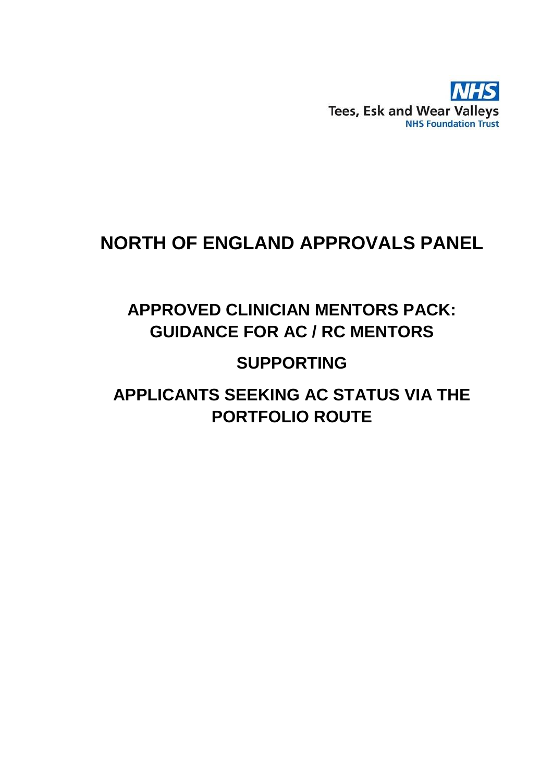

# **NORTH OF ENGLAND APPROVALS PANEL**

# **APPROVED CLINICIAN MENTORS PACK: GUIDANCE FOR AC / RC MENTORS**

# **SUPPORTING**

# **APPLICANTS SEEKING AC STATUS VIA THE PORTFOLIO ROUTE**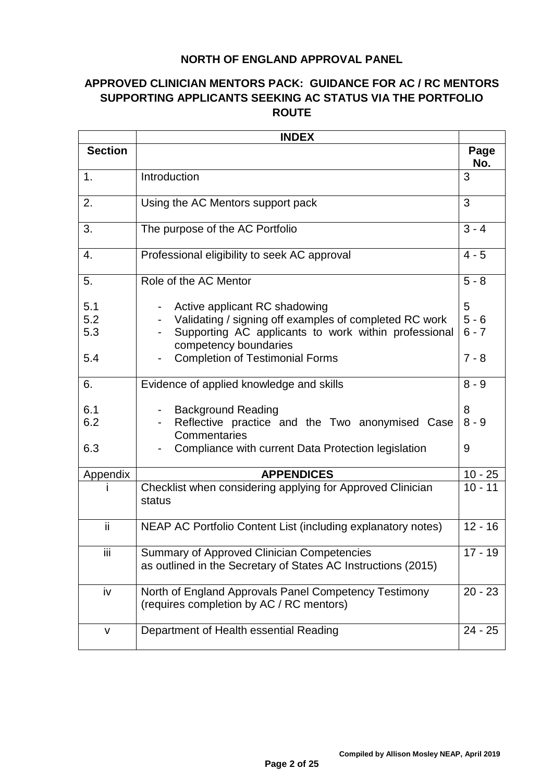### **NORTH OF ENGLAND APPROVAL PANEL**

## **APPROVED CLINICIAN MENTORS PACK: GUIDANCE FOR AC / RC MENTORS SUPPORTING APPLICANTS SEEKING AC STATUS VIA THE PORTFOLIO ROUTE**

|                          | <b>INDEX</b>                                                                                                                                                                                                       |                                    |
|--------------------------|--------------------------------------------------------------------------------------------------------------------------------------------------------------------------------------------------------------------|------------------------------------|
| <b>Section</b>           |                                                                                                                                                                                                                    | Page<br>No.                        |
| 1.                       | Introduction                                                                                                                                                                                                       | 3                                  |
| 2.                       | Using the AC Mentors support pack                                                                                                                                                                                  | 3                                  |
| 3.                       | The purpose of the AC Portfolio                                                                                                                                                                                    | $3 - 4$                            |
| 4.                       | Professional eligibility to seek AC approval                                                                                                                                                                       | $4 - 5$                            |
| 5.                       | Role of the AC Mentor                                                                                                                                                                                              | $5 - 8$                            |
| 5.1<br>5.2<br>5.3<br>5.4 | Active applicant RC shadowing<br>Validating / signing off examples of completed RC work<br>Supporting AC applicants to work within professional<br>competency boundaries<br><b>Completion of Testimonial Forms</b> | 5<br>$5 - 6$<br>$6 - 7$<br>$7 - 8$ |
| 6.                       | Evidence of applied knowledge and skills                                                                                                                                                                           | $8 - 9$                            |
| 6.1<br>6.2<br>6.3        | <b>Background Reading</b><br>Reflective practice and the Two anonymised Case<br>Commentaries<br>Compliance with current Data Protection legislation                                                                | 8<br>$8 - 9$<br>9                  |
| Appendix                 | <b>APPENDICES</b>                                                                                                                                                                                                  | $10 - 25$                          |
|                          | Checklist when considering applying for Approved Clinician<br>status                                                                                                                                               | $10 - 11$                          |
| ii                       | NEAP AC Portfolio Content List (including explanatory notes)                                                                                                                                                       | $12 - 16$                          |
| Ϊİ                       | <b>Summary of Approved Clinician Competencies</b><br>as outlined in the Secretary of States AC Instructions (2015)                                                                                                 | $17 - 19$                          |
| iv                       | North of England Approvals Panel Competency Testimony<br>(requires completion by AC / RC mentors)                                                                                                                  | $20 - 23$                          |
| v                        | Department of Health essential Reading                                                                                                                                                                             | $24 - 25$                          |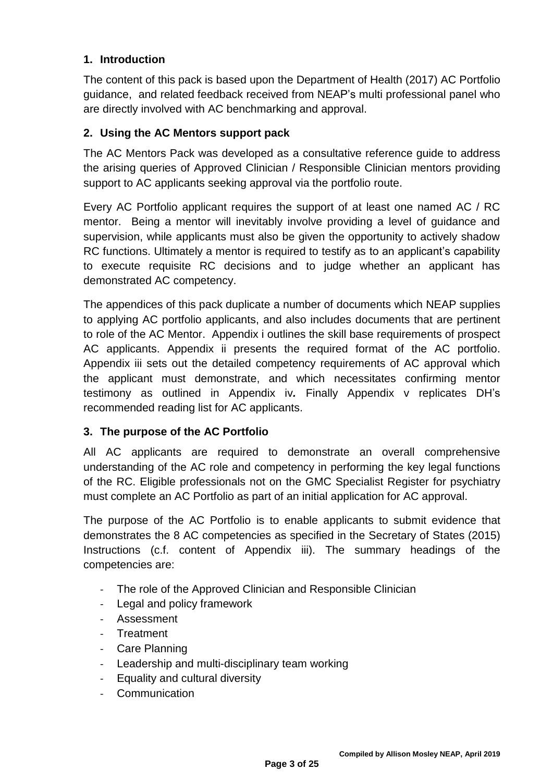### **1. Introduction**

The content of this pack is based upon the Department of Health (2017) AC Portfolio guidance, and related feedback received from NEAP's multi professional panel who are directly involved with AC benchmarking and approval.

### **2. Using the AC Mentors support pack**

The AC Mentors Pack was developed as a consultative reference guide to address the arising queries of Approved Clinician / Responsible Clinician mentors providing support to AC applicants seeking approval via the portfolio route.

Every AC Portfolio applicant requires the support of at least one named AC / RC mentor. Being a mentor will inevitably involve providing a level of guidance and supervision, while applicants must also be given the opportunity to actively shadow RC functions. Ultimately a mentor is required to testify as to an applicant's capability to execute requisite RC decisions and to judge whether an applicant has demonstrated AC competency.

The appendices of this pack duplicate a number of documents which NEAP supplies to applying AC portfolio applicants, and also includes documents that are pertinent to role of the AC Mentor. Appendix i outlines the skill base requirements of prospect AC applicants. Appendix ii presents the required format of the AC portfolio. Appendix iii sets out the detailed competency requirements of AC approval which the applicant must demonstrate, and which necessitates confirming mentor testimony as outlined in Appendix iv*.* Finally Appendix v replicates DH's recommended reading list for AC applicants.

### **3. The purpose of the AC Portfolio**

All AC applicants are required to demonstrate an overall comprehensive understanding of the AC role and competency in performing the key legal functions of the RC. Eligible professionals not on the GMC Specialist Register for psychiatry must complete an AC Portfolio as part of an initial application for AC approval.

The purpose of the AC Portfolio is to enable applicants to submit evidence that demonstrates the 8 AC competencies as specified in the Secretary of States (2015) Instructions (c.f. content of Appendix iii). The summary headings of the competencies are:

- The role of the Approved Clinician and Responsible Clinician
- Legal and policy framework
- **Assessment**
- **Treatment**
- Care Planning
- Leadership and multi-disciplinary team working
- Equality and cultural diversity
- **Communication**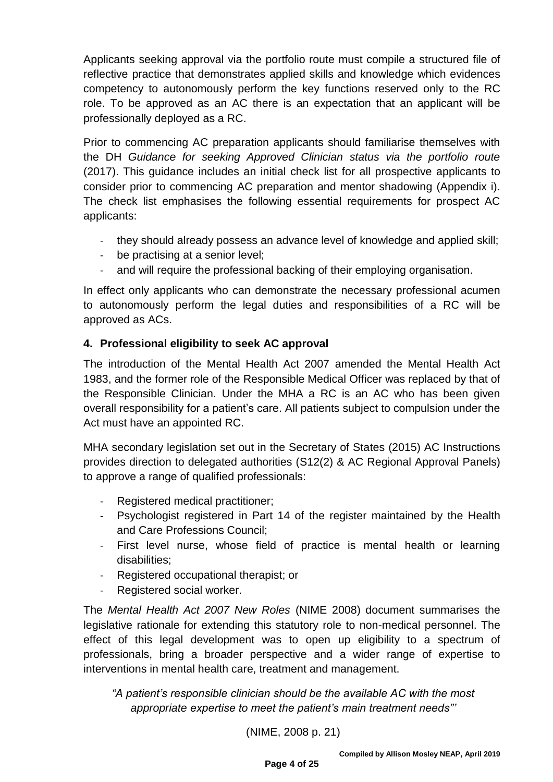Applicants seeking approval via the portfolio route must compile a structured file of reflective practice that demonstrates applied skills and knowledge which evidences competency to autonomously perform the key functions reserved only to the RC role. To be approved as an AC there is an expectation that an applicant will be professionally deployed as a RC.

Prior to commencing AC preparation applicants should familiarise themselves with the DH *Guidance for seeking Approved Clinician status via the portfolio route*  (2017). This guidance includes an initial check list for all prospective applicants to consider prior to commencing AC preparation and mentor shadowing (Appendix i). The check list emphasises the following essential requirements for prospect AC applicants:

- they should already possess an advance level of knowledge and applied skill;
- be practising at a senior level;
- and will require the professional backing of their employing organisation.

In effect only applicants who can demonstrate the necessary professional acumen to autonomously perform the legal duties and responsibilities of a RC will be approved as ACs.

### **4. Professional eligibility to seek AC approval**

The introduction of the Mental Health Act 2007 amended the Mental Health Act 1983, and the former role of the Responsible Medical Officer was replaced by that of the Responsible Clinician. Under the MHA a RC is an AC who has been given overall responsibility for a patient's care. All patients subject to compulsion under the Act must have an appointed RC.

MHA secondary legislation set out in the Secretary of States (2015) AC Instructions provides direction to delegated authorities (S12(2) & AC Regional Approval Panels) to approve a range of qualified professionals:

- Registered medical practitioner;
- Psychologist registered in Part 14 of the register maintained by the Health and Care Professions Council;
- First level nurse, whose field of practice is mental health or learning disabilities;
- Registered occupational therapist; or
- Registered social worker.

The *Mental Health Act 2007 New Roles* (NIME 2008) document summarises the legislative rationale for extending this statutory role to non-medical personnel. The effect of this legal development was to open up eligibility to a spectrum of professionals, bring a broader perspective and a wider range of expertise to interventions in mental health care, treatment and management.

*"A patient's responsible clinician should be the available AC with the most appropriate expertise to meet the patient's main treatment needs"'*

(NIME, 2008 p. 21)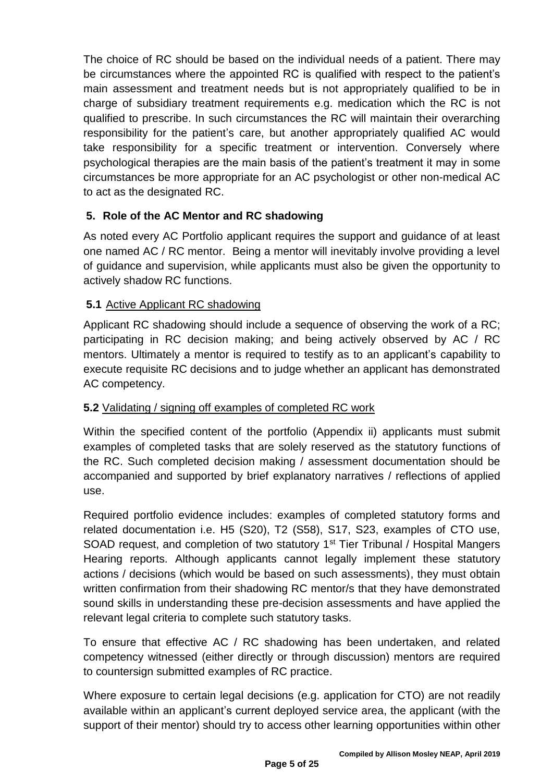The choice of RC should be based on the individual needs of a patient. There may be circumstances where the appointed RC is qualified with respect to the patient's main assessment and treatment needs but is not appropriately qualified to be in charge of subsidiary treatment requirements e.g. medication which the RC is not qualified to prescribe. In such circumstances the RC will maintain their overarching responsibility for the patient's care, but another appropriately qualified AC would take responsibility for a specific treatment or intervention. Conversely where psychological therapies are the main basis of the patient's treatment it may in some circumstances be more appropriate for an AC psychologist or other non-medical AC to act as the designated RC.

### **5. Role of the AC Mentor and RC shadowing**

As noted every AC Portfolio applicant requires the support and guidance of at least one named AC / RC mentor. Being a mentor will inevitably involve providing a level of guidance and supervision, while applicants must also be given the opportunity to actively shadow RC functions.

### **5.1** Active Applicant RC shadowing

Applicant RC shadowing should include a sequence of observing the work of a RC; participating in RC decision making; and being actively observed by AC / RC mentors. Ultimately a mentor is required to testify as to an applicant's capability to execute requisite RC decisions and to judge whether an applicant has demonstrated AC competency.

## **5.2** Validating / signing off examples of completed RC work

Within the specified content of the portfolio (Appendix ii) applicants must submit examples of completed tasks that are solely reserved as the statutory functions of the RC. Such completed decision making / assessment documentation should be accompanied and supported by brief explanatory narratives / reflections of applied use.

Required portfolio evidence includes: examples of completed statutory forms and related documentation i.e. H5 (S20), T2 (S58), S17, S23, examples of CTO use, SOAD request, and completion of two statutory 1<sup>st</sup> Tier Tribunal / Hospital Mangers Hearing reports. Although applicants cannot legally implement these statutory actions / decisions (which would be based on such assessments), they must obtain written confirmation from their shadowing RC mentor/s that they have demonstrated sound skills in understanding these pre-decision assessments and have applied the relevant legal criteria to complete such statutory tasks.

To ensure that effective AC / RC shadowing has been undertaken, and related competency witnessed (either directly or through discussion) mentors are required to countersign submitted examples of RC practice.

Where exposure to certain legal decisions (e.g. application for CTO) are not readily available within an applicant's current deployed service area, the applicant (with the support of their mentor) should try to access other learning opportunities within other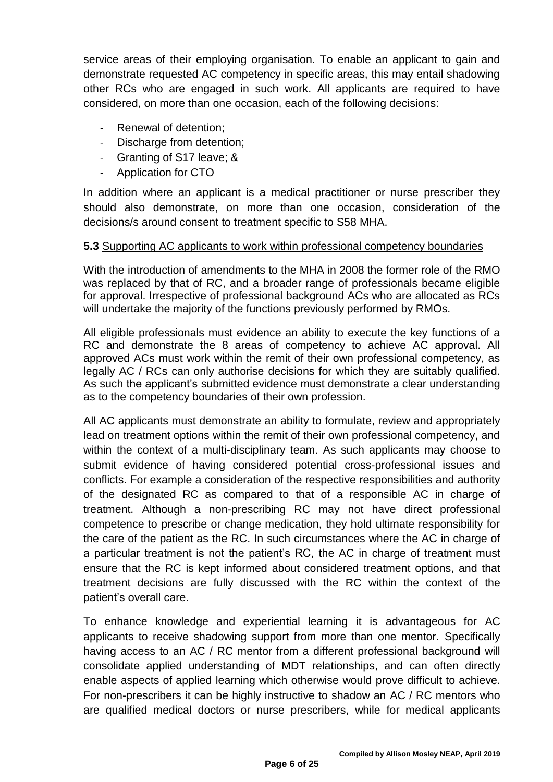service areas of their employing organisation. To enable an applicant to gain and demonstrate requested AC competency in specific areas, this may entail shadowing other RCs who are engaged in such work. All applicants are required to have considered, on more than one occasion, each of the following decisions:

- Renewal of detention:
- Discharge from detention;
- Granting of S17 leave; &
- Application for CTO

In addition where an applicant is a medical practitioner or nurse prescriber they should also demonstrate, on more than one occasion, consideration of the decisions/s around consent to treatment specific to S58 MHA.

#### **5.3** Supporting AC applicants to work within professional competency boundaries

With the introduction of amendments to the MHA in 2008 the former role of the RMO was replaced by that of RC, and a broader range of professionals became eligible for approval. Irrespective of professional background ACs who are allocated as RCs will undertake the majority of the functions previously performed by RMOs.

All eligible professionals must evidence an ability to execute the key functions of a RC and demonstrate the 8 areas of competency to achieve AC approval. All approved ACs must work within the remit of their own professional competency, as legally AC / RCs can only authorise decisions for which they are suitably qualified. As such the applicant's submitted evidence must demonstrate a clear understanding as to the competency boundaries of their own profession.

All AC applicants must demonstrate an ability to formulate, review and appropriately lead on treatment options within the remit of their own professional competency, and within the context of a multi-disciplinary team. As such applicants may choose to submit evidence of having considered potential cross-professional issues and conflicts. For example a consideration of the respective responsibilities and authority of the designated RC as compared to that of a responsible AC in charge of treatment. Although a non-prescribing RC may not have direct professional competence to prescribe or change medication, they hold ultimate responsibility for the care of the patient as the RC. In such circumstances where the AC in charge of a particular treatment is not the patient's RC, the AC in charge of treatment must ensure that the RC is kept informed about considered treatment options, and that treatment decisions are fully discussed with the RC within the context of the patient's overall care.

To enhance knowledge and experiential learning it is advantageous for AC applicants to receive shadowing support from more than one mentor. Specifically having access to an AC / RC mentor from a different professional background will consolidate applied understanding of MDT relationships, and can often directly enable aspects of applied learning which otherwise would prove difficult to achieve. For non-prescribers it can be highly instructive to shadow an AC / RC mentors who are qualified medical doctors or nurse prescribers, while for medical applicants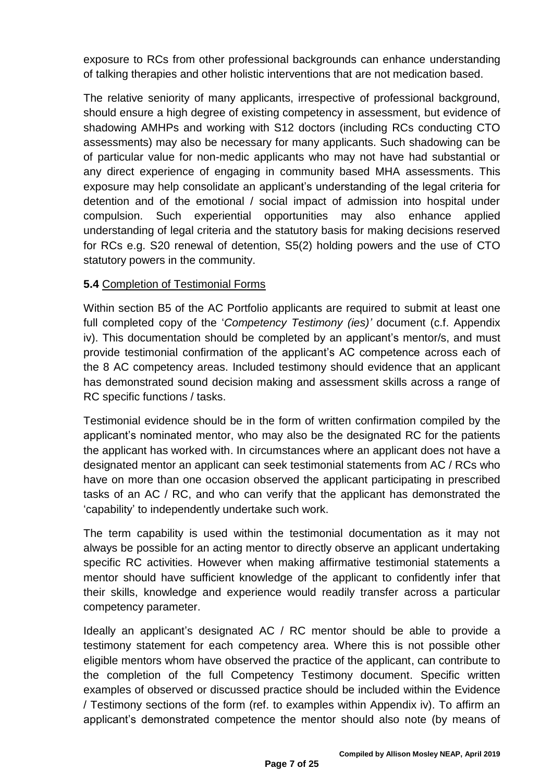exposure to RCs from other professional backgrounds can enhance understanding of talking therapies and other holistic interventions that are not medication based.

The relative seniority of many applicants, irrespective of professional background, should ensure a high degree of existing competency in assessment, but evidence of shadowing AMHPs and working with S12 doctors (including RCs conducting CTO assessments) may also be necessary for many applicants. Such shadowing can be of particular value for non-medic applicants who may not have had substantial or any direct experience of engaging in community based MHA assessments. This exposure may help consolidate an applicant's understanding of the legal criteria for detention and of the emotional / social impact of admission into hospital under compulsion. Such experiential opportunities may also enhance applied understanding of legal criteria and the statutory basis for making decisions reserved for RCs e.g. S20 renewal of detention, S5(2) holding powers and the use of CTO statutory powers in the community.

### **5.4** Completion of Testimonial Forms

Within section B5 of the AC Portfolio applicants are required to submit at least one full completed copy of the '*Competency Testimony (ies)'* document (c.f. Appendix iv). This documentation should be completed by an applicant's mentor/s, and must provide testimonial confirmation of the applicant's AC competence across each of the 8 AC competency areas. Included testimony should evidence that an applicant has demonstrated sound decision making and assessment skills across a range of RC specific functions / tasks.

Testimonial evidence should be in the form of written confirmation compiled by the applicant's nominated mentor, who may also be the designated RC for the patients the applicant has worked with. In circumstances where an applicant does not have a designated mentor an applicant can seek testimonial statements from AC / RCs who have on more than one occasion observed the applicant participating in prescribed tasks of an AC / RC, and who can verify that the applicant has demonstrated the 'capability' to independently undertake such work.

The term capability is used within the testimonial documentation as it may not always be possible for an acting mentor to directly observe an applicant undertaking specific RC activities. However when making affirmative testimonial statements a mentor should have sufficient knowledge of the applicant to confidently infer that their skills, knowledge and experience would readily transfer across a particular competency parameter.

Ideally an applicant's designated AC / RC mentor should be able to provide a testimony statement for each competency area. Where this is not possible other eligible mentors whom have observed the practice of the applicant, can contribute to the completion of the full Competency Testimony document. Specific written examples of observed or discussed practice should be included within the Evidence / Testimony sections of the form (ref. to examples within Appendix iv). To affirm an applicant's demonstrated competence the mentor should also note (by means of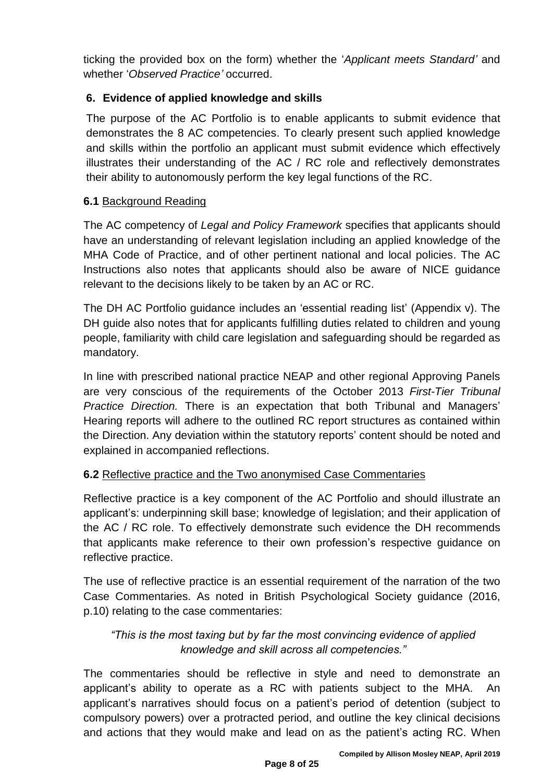ticking the provided box on the form) whether the '*Applicant meets Standard'* and whether '*Observed Practice'* occurred.

### **6. Evidence of applied knowledge and skills**

The purpose of the AC Portfolio is to enable applicants to submit evidence that demonstrates the 8 AC competencies. To clearly present such applied knowledge and skills within the portfolio an applicant must submit evidence which effectively illustrates their understanding of the AC / RC role and reflectively demonstrates their ability to autonomously perform the key legal functions of the RC.

### **6.1** Background Reading

The AC competency of *Legal and Policy Framework* specifies that applicants should have an understanding of relevant legislation including an applied knowledge of the MHA Code of Practice, and of other pertinent national and local policies. The AC Instructions also notes that applicants should also be aware of NICE guidance relevant to the decisions likely to be taken by an AC or RC.

The DH AC Portfolio guidance includes an 'essential reading list' (Appendix v). The DH guide also notes that for applicants fulfilling duties related to children and young people, familiarity with child care legislation and safeguarding should be regarded as mandatory.

In line with prescribed national practice NEAP and other regional Approving Panels are very conscious of the requirements of the October 2013 *First-Tier Tribunal Practice Direction.* There is an expectation that both Tribunal and Managers' Hearing reports will adhere to the outlined RC report structures as contained within the Direction. Any deviation within the statutory reports' content should be noted and explained in accompanied reflections.

## **6.2** Reflective practice and the Two anonymised Case Commentaries

Reflective practice is a key component of the AC Portfolio and should illustrate an applicant's: underpinning skill base; knowledge of legislation; and their application of the AC / RC role. To effectively demonstrate such evidence the DH recommends that applicants make reference to their own profession's respective guidance on reflective practice.

The use of reflective practice is an essential requirement of the narration of the two Case Commentaries. As noted in British Psychological Society guidance (2016, p.10) relating to the case commentaries:

## *"This is the most taxing but by far the most convincing evidence of applied knowledge and skill across all competencies."*

The commentaries should be reflective in style and need to demonstrate an applicant's ability to operate as a RC with patients subject to the MHA. An applicant's narratives should focus on a patient's period of detention (subject to compulsory powers) over a protracted period, and outline the key clinical decisions and actions that they would make and lead on as the patient's acting RC. When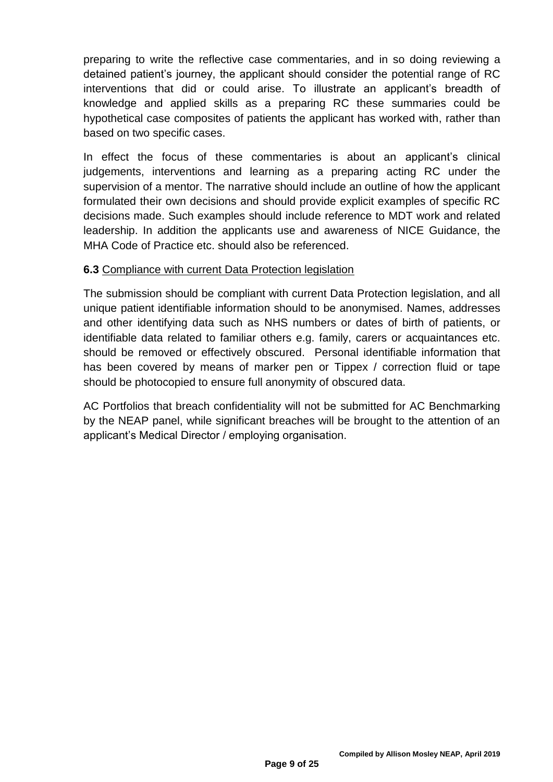preparing to write the reflective case commentaries, and in so doing reviewing a detained patient's journey, the applicant should consider the potential range of RC interventions that did or could arise. To illustrate an applicant's breadth of knowledge and applied skills as a preparing RC these summaries could be hypothetical case composites of patients the applicant has worked with, rather than based on two specific cases.

In effect the focus of these commentaries is about an applicant's clinical judgements, interventions and learning as a preparing acting RC under the supervision of a mentor. The narrative should include an outline of how the applicant formulated their own decisions and should provide explicit examples of specific RC decisions made. Such examples should include reference to MDT work and related leadership. In addition the applicants use and awareness of NICE Guidance, the MHA Code of Practice etc. should also be referenced.

### **6.3** Compliance with current Data Protection legislation

The submission should be compliant with current Data Protection legislation, and all unique patient identifiable information should to be anonymised. Names, addresses and other identifying data such as NHS numbers or dates of birth of patients, or identifiable data related to familiar others e.g. family, carers or acquaintances etc. should be removed or effectively obscured. Personal identifiable information that has been covered by means of marker pen or Tippex / correction fluid or tape should be photocopied to ensure full anonymity of obscured data.

AC Portfolios that breach confidentiality will not be submitted for AC Benchmarking by the NEAP panel, while significant breaches will be brought to the attention of an applicant's Medical Director / employing organisation.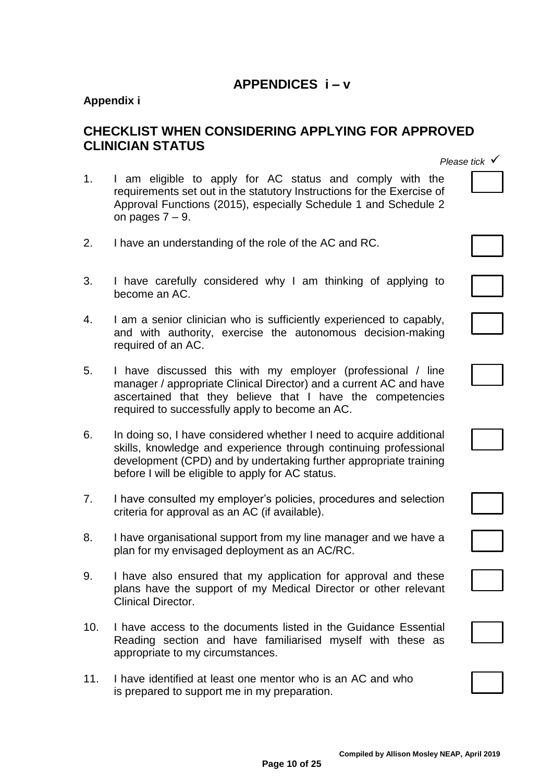# **APPENDICES i – v**

### **Appendix i**

# **CHECKLIST WHEN CONSIDERING APPLYING FOR APPROVED CLINICIAN STATUS**

- 1. I am eligible to apply for AC status and comply with the requirements set out in the statutory Instructions for the Exercise of Approval Functions (2015), especially Schedule 1 and Schedule 2 on pages  $7 - 9$ .
- 2. I have an understanding of the role of the AC and RC.
- 3. I have carefully considered why I am thinking of applying to become an AC.
- 4. I am a senior clinician who is sufficiently experienced to capably, and with authority, exercise the autonomous decision-making required of an AC.
- 5. I have discussed this with my employer (professional / line manager / appropriate Clinical Director) and a current AC and have ascertained that they believe that I have the competencies required to successfully apply to become an AC.
- 6. In doing so, I have considered whether I need to acquire additional skills, knowledge and experience through continuing professional development (CPD) and by undertaking further appropriate training before I will be eligible to apply for AC status.
- 7. I have consulted my employer's policies, procedures and selection criteria for approval as an AC (if available).
- 8. I have organisational support from my line manager and we have a plan for my envisaged deployment as an AC/RC.
- 9. I have also ensured that my application for approval and these plans have the support of my Medical Director or other relevant Clinical Director.
- 10. I have access to the documents listed in the Guidance Essential Reading section and have familiarised myself with these as appropriate to my circumstances.
- 11. I have identified at least one mentor who is an AC and who is prepared to support me in my preparation.



| ——— |  |  |  |
|-----|--|--|--|











**Compiled by Allison Mosley NEAP, April 2019**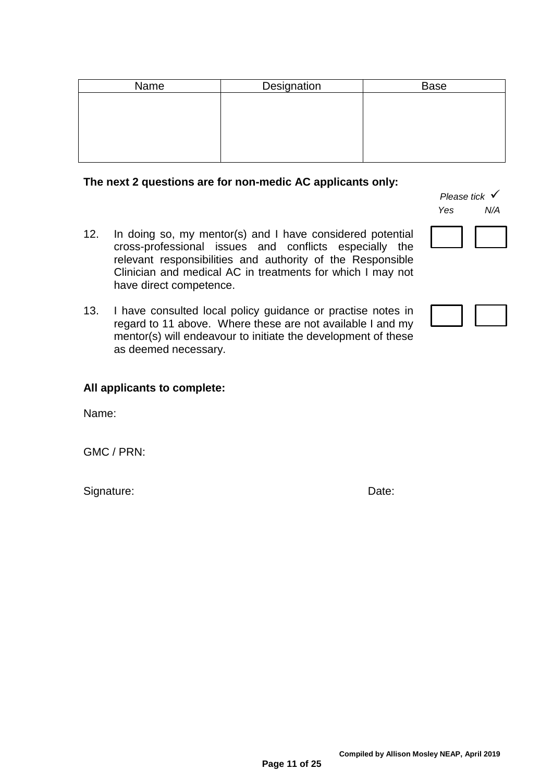| Name | Designation | <b>Base</b> |
|------|-------------|-------------|
|      |             |             |
|      |             |             |
|      |             |             |
|      |             |             |
|      |             |             |

#### **The next 2 questions are for non-medic AC applicants only:**

- 12. In doing so, my mentor(s) and I have considered potential cross-professional issues and conflicts especially the relevant responsibilities and authority of the Responsible Clinician and medical AC in treatments for which I may not have direct competence.
- 13. I have consulted local policy guidance or practise notes in regard to 11 above. Where these are not available I and my mentor(s) will endeavour to initiate the development of these as deemed necessary.

*Please tick*  $\checkmark$ *Yes N/A*

#### **All applicants to complete:**

Name:

GMC / PRN:

Signature: Date: Date: Date: Date: Date: Date: Date: Date: Date: Date: Date: Date: Date: Date: Date: Date: Date: Date: Date: Date: Date: Date: Date: Date: Date: Date: Date: Date: Date: Date: Date: Date: Date: Date: Date: D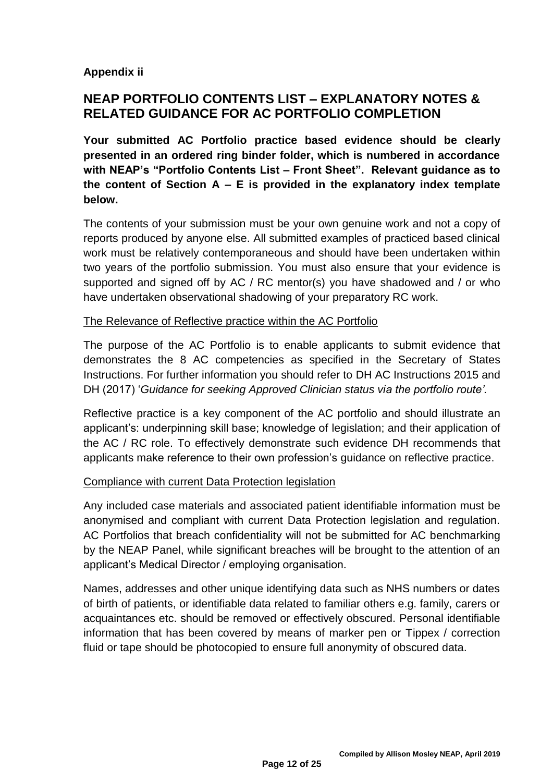### **Appendix ii**

# **NEAP PORTFOLIO CONTENTS LIST – EXPLANATORY NOTES & RELATED GUIDANCE FOR AC PORTFOLIO COMPLETION**

**Your submitted AC Portfolio practice based evidence should be clearly presented in an ordered ring binder folder, which is numbered in accordance with NEAP's "Portfolio Contents List – Front Sheet". Relevant guidance as to the content of Section A – E is provided in the explanatory index template below.** 

The contents of your submission must be your own genuine work and not a copy of reports produced by anyone else. All submitted examples of practiced based clinical work must be relatively contemporaneous and should have been undertaken within two years of the portfolio submission. You must also ensure that your evidence is supported and signed off by AC / RC mentor(s) you have shadowed and / or who have undertaken observational shadowing of your preparatory RC work.

### The Relevance of Reflective practice within the AC Portfolio

The purpose of the AC Portfolio is to enable applicants to submit evidence that demonstrates the 8 AC competencies as specified in the Secretary of States Instructions. For further information you should refer to DH AC Instructions 2015 and DH (2017) '*Guidance for seeking Approved Clinician status via the portfolio route'.*

Reflective practice is a key component of the AC portfolio and should illustrate an applicant's: underpinning skill base; knowledge of legislation; and their application of the AC / RC role. To effectively demonstrate such evidence DH recommends that applicants make reference to their own profession's guidance on reflective practice.

### Compliance with current Data Protection legislation

Any included case materials and associated patient identifiable information must be anonymised and compliant with current Data Protection legislation and regulation. AC Portfolios that breach confidentiality will not be submitted for AC benchmarking by the NEAP Panel, while significant breaches will be brought to the attention of an applicant's Medical Director / employing organisation.

Names, addresses and other unique identifying data such as NHS numbers or dates of birth of patients, or identifiable data related to familiar others e.g. family, carers or acquaintances etc. should be removed or effectively obscured. Personal identifiable information that has been covered by means of marker pen or Tippex / correction fluid or tape should be photocopied to ensure full anonymity of obscured data.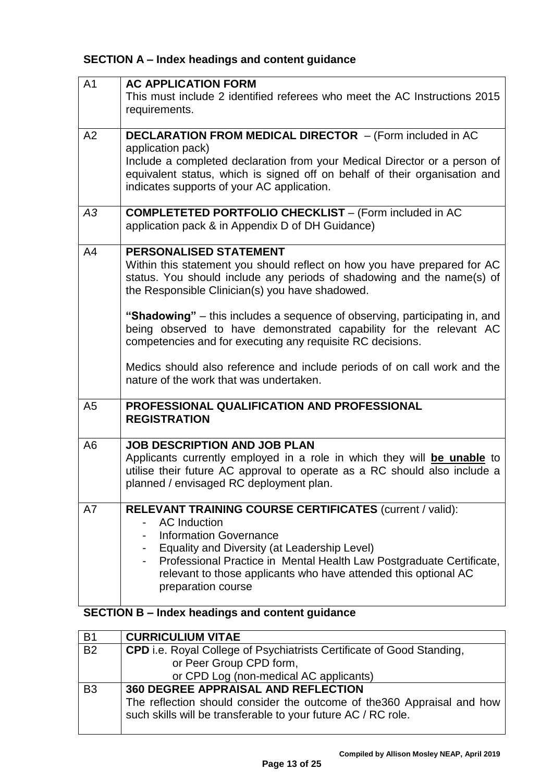# **SECTION A – Index headings and content guidance**

| A <sub>1</sub> | <b>AC APPLICATION FORM</b>                                                                                                                                                                                                                                                                                                          |
|----------------|-------------------------------------------------------------------------------------------------------------------------------------------------------------------------------------------------------------------------------------------------------------------------------------------------------------------------------------|
|                | This must include 2 identified referees who meet the AC Instructions 2015<br>requirements.                                                                                                                                                                                                                                          |
| A2             | <b>DECLARATION FROM MEDICAL DIRECTOR</b> - (Form included in AC<br>application pack)                                                                                                                                                                                                                                                |
|                | Include a completed declaration from your Medical Director or a person of<br>equivalent status, which is signed off on behalf of their organisation and<br>indicates supports of your AC application.                                                                                                                               |
| A3             | <b>COMPLETETED PORTFOLIO CHECKLIST - (Form included in AC</b><br>application pack & in Appendix D of DH Guidance)                                                                                                                                                                                                                   |
| A <sub>4</sub> | <b>PERSONALISED STATEMENT</b><br>Within this statement you should reflect on how you have prepared for AC<br>status. You should include any periods of shadowing and the name(s) of<br>the Responsible Clinician(s) you have shadowed.                                                                                              |
|                | "Shadowing" – this includes a sequence of observing, participating in, and<br>being observed to have demonstrated capability for the relevant AC<br>competencies and for executing any requisite RC decisions.                                                                                                                      |
|                | Medics should also reference and include periods of on call work and the<br>nature of the work that was undertaken.                                                                                                                                                                                                                 |
| A <sub>5</sub> | PROFESSIONAL QUALIFICATION AND PROFESSIONAL<br><b>REGISTRATION</b>                                                                                                                                                                                                                                                                  |
| A <sub>6</sub> | <b>JOB DESCRIPTION AND JOB PLAN</b><br>Applicants currently employed in a role in which they will be unable to<br>utilise their future AC approval to operate as a RC should also include a<br>planned / envisaged RC deployment plan.                                                                                              |
| A7             | RELEVANT TRAINING COURSE CERTIFICATES (current / valid):<br><b>AC</b> Induction<br><b>Information Governance</b><br>- Equality and Diversity (at Leadership Level)<br>Professional Practice in Mental Health Law Postgraduate Certificate,<br>relevant to those applicants who have attended this optional AC<br>preparation course |

# **SECTION B – Index headings and content guidance**

| <b>B1</b>      | <b>CURRICULIUM VITAE</b>                                                                                                                 |
|----------------|------------------------------------------------------------------------------------------------------------------------------------------|
| <b>B2</b>      | <b>CPD</b> i.e. Royal College of Psychiatrists Certificate of Good Standing,                                                             |
|                | or Peer Group CPD form,                                                                                                                  |
|                | or CPD Log (non-medical AC applicants)                                                                                                   |
| B <sub>3</sub> | 360 DEGREE APPRAISAL AND REFLECTION                                                                                                      |
|                | The reflection should consider the outcome of the 360 Appraisal and how<br>such skills will be transferable to your future AC / RC role. |
|                |                                                                                                                                          |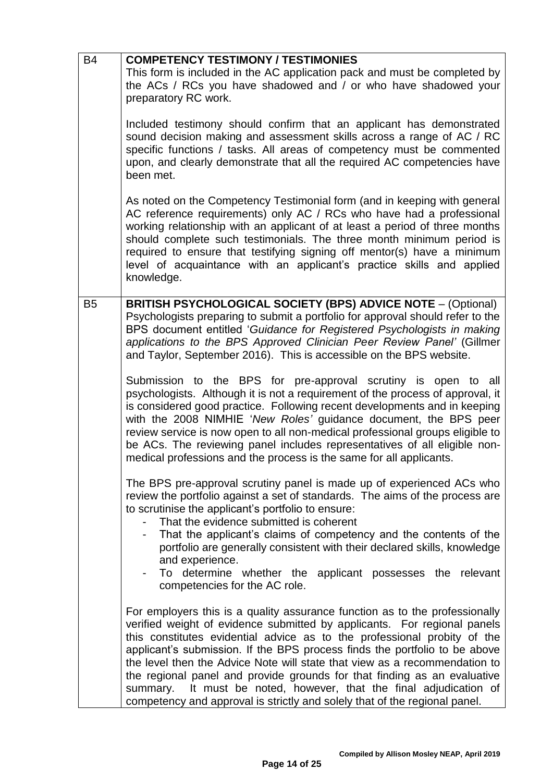| <b>B4</b>      | <b>COMPETENCY TESTIMONY / TESTIMONIES</b>                                                                                                                                                                                                                                                                                                                                                                                                                                                                                                                                                                                          |
|----------------|------------------------------------------------------------------------------------------------------------------------------------------------------------------------------------------------------------------------------------------------------------------------------------------------------------------------------------------------------------------------------------------------------------------------------------------------------------------------------------------------------------------------------------------------------------------------------------------------------------------------------------|
|                | This form is included in the AC application pack and must be completed by<br>the ACs / RCs you have shadowed and / or who have shadowed your<br>preparatory RC work.                                                                                                                                                                                                                                                                                                                                                                                                                                                               |
|                | Included testimony should confirm that an applicant has demonstrated<br>sound decision making and assessment skills across a range of AC / RC<br>specific functions / tasks. All areas of competency must be commented<br>upon, and clearly demonstrate that all the required AC competencies have<br>been met.                                                                                                                                                                                                                                                                                                                    |
|                | As noted on the Competency Testimonial form (and in keeping with general<br>AC reference requirements) only AC / RCs who have had a professional<br>working relationship with an applicant of at least a period of three months<br>should complete such testimonials. The three month minimum period is<br>required to ensure that testifying signing off mentor(s) have a minimum<br>level of acquaintance with an applicant's practice skills and applied<br>knowledge.                                                                                                                                                          |
| B <sub>5</sub> | <b>BRITISH PSYCHOLOGICAL SOCIETY (BPS) ADVICE NOTE - (Optional)</b><br>Psychologists preparing to submit a portfolio for approval should refer to the<br>BPS document entitled 'Guidance for Registered Psychologists in making<br>applications to the BPS Approved Clinician Peer Review Panel' (Gillmer<br>and Taylor, September 2016). This is accessible on the BPS website.                                                                                                                                                                                                                                                   |
|                | Submission to the BPS for pre-approval scrutiny is open to all<br>psychologists. Although it is not a requirement of the process of approval, it<br>is considered good practice. Following recent developments and in keeping<br>with the 2008 NIMHIE 'New Roles' guidance document, the BPS peer<br>review service is now open to all non-medical professional groups eligible to<br>be ACs. The reviewing panel includes representatives of all eligible non-<br>medical professions and the process is the same for all applicants.                                                                                             |
|                | The BPS pre-approval scrutiny panel is made up of experienced ACs who<br>review the portfolio against a set of standards. The aims of the process are<br>to scrutinise the applicant's portfolio to ensure:<br>That the evidence submitted is coherent<br>- That the applicant's claims of competency and the contents of the<br>portfolio are generally consistent with their declared skills, knowledge<br>and experience.<br>To determine whether the applicant possesses the relevant<br>competencies for the AC role.                                                                                                         |
|                | For employers this is a quality assurance function as to the professionally<br>verified weight of evidence submitted by applicants. For regional panels<br>this constitutes evidential advice as to the professional probity of the<br>applicant's submission. If the BPS process finds the portfolio to be above<br>the level then the Advice Note will state that view as a recommendation to<br>the regional panel and provide grounds for that finding as an evaluative<br>It must be noted, however, that the final adjudication of<br>summary.<br>competency and approval is strictly and solely that of the regional panel. |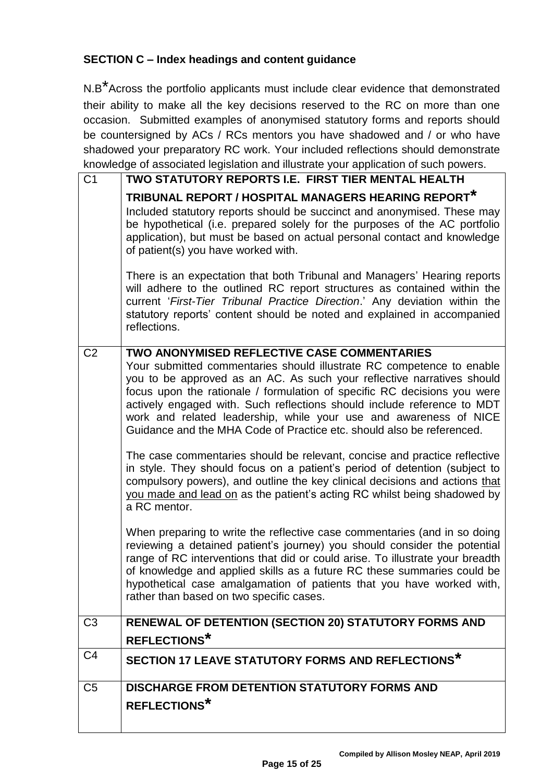### **SECTION C – Index headings and content guidance**

N.B\*Across the portfolio applicants must include clear evidence that demonstrated their ability to make all the key decisions reserved to the RC on more than one occasion. Submitted examples of anonymised statutory forms and reports should be countersigned by ACs / RCs mentors you have shadowed and / or who have shadowed your preparatory RC work. Your included reflections should demonstrate knowledge of associated legislation and illustrate your application of such powers.

| C <sub>1</sub> | TWO STATUTORY REPORTS I.E. FIRST TIER MENTAL HEALTH                                                                                                                                                                                                                                                                                                                                                                                                                                                                                                                                                                                              |
|----------------|--------------------------------------------------------------------------------------------------------------------------------------------------------------------------------------------------------------------------------------------------------------------------------------------------------------------------------------------------------------------------------------------------------------------------------------------------------------------------------------------------------------------------------------------------------------------------------------------------------------------------------------------------|
|                | TRIBUNAL REPORT / HOSPITAL MANAGERS HEARING REPORT*<br>Included statutory reports should be succinct and anonymised. These may<br>be hypothetical (i.e. prepared solely for the purposes of the AC portfolio<br>application), but must be based on actual personal contact and knowledge<br>of patient(s) you have worked with.<br>There is an expectation that both Tribunal and Managers' Hearing reports<br>will adhere to the outlined RC report structures as contained within the<br>current 'First-Tier Tribunal Practice Direction.' Any deviation within the<br>statutory reports' content should be noted and explained in accompanied |
|                | reflections.                                                                                                                                                                                                                                                                                                                                                                                                                                                                                                                                                                                                                                     |
| C <sub>2</sub> | TWO ANONYMISED REFLECTIVE CASE COMMENTARIES<br>Your submitted commentaries should illustrate RC competence to enable<br>you to be approved as an AC. As such your reflective narratives should<br>focus upon the rationale / formulation of specific RC decisions you were<br>actively engaged with. Such reflections should include reference to MDT<br>work and related leadership, while your use and awareness of NICE<br>Guidance and the MHA Code of Practice etc. should also be referenced.<br>The case commentaries should be relevant, concise and practice reflective                                                                 |
|                | in style. They should focus on a patient's period of detention (subject to<br>compulsory powers), and outline the key clinical decisions and actions that<br>you made and lead on as the patient's acting RC whilst being shadowed by<br>a RC mentor.                                                                                                                                                                                                                                                                                                                                                                                            |
|                | When preparing to write the reflective case commentaries (and in so doing<br>reviewing a detained patient's journey) you should consider the potential<br>range of RC interventions that did or could arise. To illustrate your breadth<br>of knowledge and applied skills as a future RC these summaries could be<br>hypothetical case amalgamation of patients that you have worked with,<br>rather than based on two specific cases.                                                                                                                                                                                                          |
| C <sub>3</sub> | RENEWAL OF DETENTION (SECTION 20) STATUTORY FORMS AND<br><b>REFLECTIONS*</b>                                                                                                                                                                                                                                                                                                                                                                                                                                                                                                                                                                     |
| C4             | SECTION 17 LEAVE STATUTORY FORMS AND REFLECTIONS*                                                                                                                                                                                                                                                                                                                                                                                                                                                                                                                                                                                                |
| C <sub>5</sub> | <b>DISCHARGE FROM DETENTION STATUTORY FORMS AND</b>                                                                                                                                                                                                                                                                                                                                                                                                                                                                                                                                                                                              |
|                | <b>REFLECTIONS*</b>                                                                                                                                                                                                                                                                                                                                                                                                                                                                                                                                                                                                                              |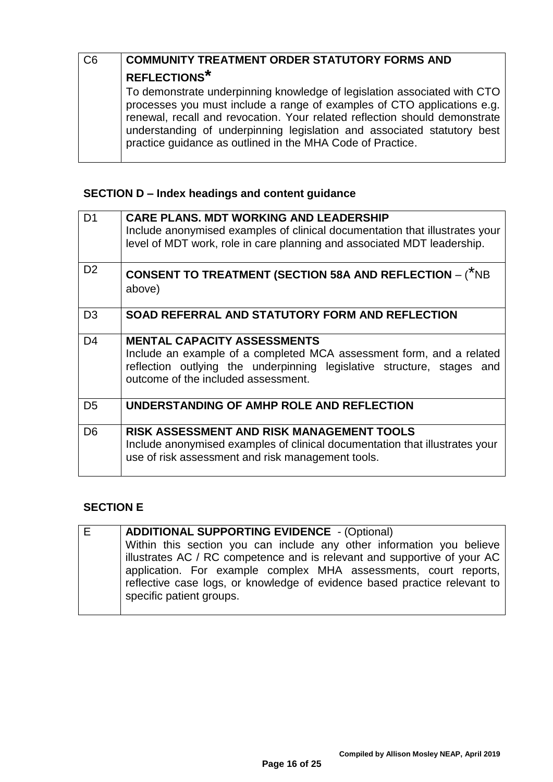| C <sub>6</sub> | <b>COMMUNITY TREATMENT ORDER STATUTORY FORMS AND</b>                                                                                                                                                                                                                                                                                                                       |
|----------------|----------------------------------------------------------------------------------------------------------------------------------------------------------------------------------------------------------------------------------------------------------------------------------------------------------------------------------------------------------------------------|
|                | <b>REFLECTIONS*</b>                                                                                                                                                                                                                                                                                                                                                        |
|                | To demonstrate underpinning knowledge of legislation associated with CTO<br>processes you must include a range of examples of CTO applications e.g.<br>renewal, recall and revocation. Your related reflection should demonstrate<br>understanding of underpinning legislation and associated statutory best<br>practice guidance as outlined in the MHA Code of Practice. |

# **SECTION D – Index headings and content guidance**

| D <sub>1</sub> | <b>CARE PLANS. MDT WORKING AND LEADERSHIP</b><br>Include anonymised examples of clinical documentation that illustrates your<br>level of MDT work, role in care planning and associated MDT leadership.                     |
|----------------|-----------------------------------------------------------------------------------------------------------------------------------------------------------------------------------------------------------------------------|
| D <sub>2</sub> | <b>CONSENT TO TREATMENT (SECTION 58A AND REFLECTION – (*NB</b><br>above)                                                                                                                                                    |
| D <sub>3</sub> | SOAD REFERRAL AND STATUTORY FORM AND REFLECTION                                                                                                                                                                             |
| D <sub>4</sub> | <b>MENTAL CAPACITY ASSESSMENTS</b><br>Include an example of a completed MCA assessment form, and a related<br>reflection outlying the underpinning legislative structure, stages and<br>outcome of the included assessment. |
| D <sub>5</sub> | UNDERSTANDING OF AMHP ROLE AND REFLECTION                                                                                                                                                                                   |
| D <sub>6</sub> | RISK ASSESSMENT AND RISK MANAGEMENT TOOLS<br>Include anonymised examples of clinical documentation that illustrates your<br>use of risk assessment and risk management tools.                                               |

# **SECTION E**

| E | <b>ADDITIONAL SUPPORTING EVIDENCE</b> - (Optional)                                                                                                                        |
|---|---------------------------------------------------------------------------------------------------------------------------------------------------------------------------|
|   | Within this section you can include any other information you believe                                                                                                     |
|   | illustrates AC / RC competence and is relevant and supportive of your AC                                                                                                  |
|   | application. For example complex MHA assessments, court reports,<br>reflective case logs, or knowledge of evidence based practice relevant to<br>specific patient groups. |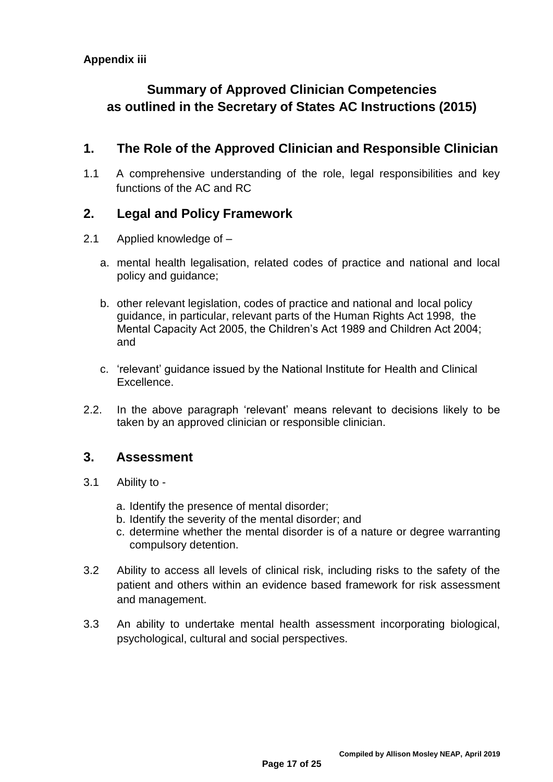# **Summary of Approved Clinician Competencies as outlined in the Secretary of States AC Instructions (2015)**

# **1. The Role of the Approved Clinician and Responsible Clinician**

1.1 A comprehensive understanding of the role, legal responsibilities and key functions of the AC and RC

# **2. Legal and Policy Framework**

- 2.1 Applied knowledge of
	- a. mental health legalisation, related codes of practice and national and local policy and guidance;
	- b. other relevant legislation, codes of practice and national and local policy guidance, in particular, relevant parts of the Human Rights Act 1998, the Mental Capacity Act 2005, the Children's Act 1989 and Children Act 2004; and
	- c. 'relevant' guidance issued by the National Institute for Health and Clinical Excellence.
- 2.2. In the above paragraph 'relevant' means relevant to decisions likely to be taken by an approved clinician or responsible clinician.

# **3. Assessment**

- 3.1 Ability to
	- a. Identify the presence of mental disorder;
	- b. Identify the severity of the mental disorder; and
	- c. determine whether the mental disorder is of a nature or degree warranting compulsory detention.
- 3.2 Ability to access all levels of clinical risk, including risks to the safety of the patient and others within an evidence based framework for risk assessment and management.
- 3.3 An ability to undertake mental health assessment incorporating biological, psychological, cultural and social perspectives.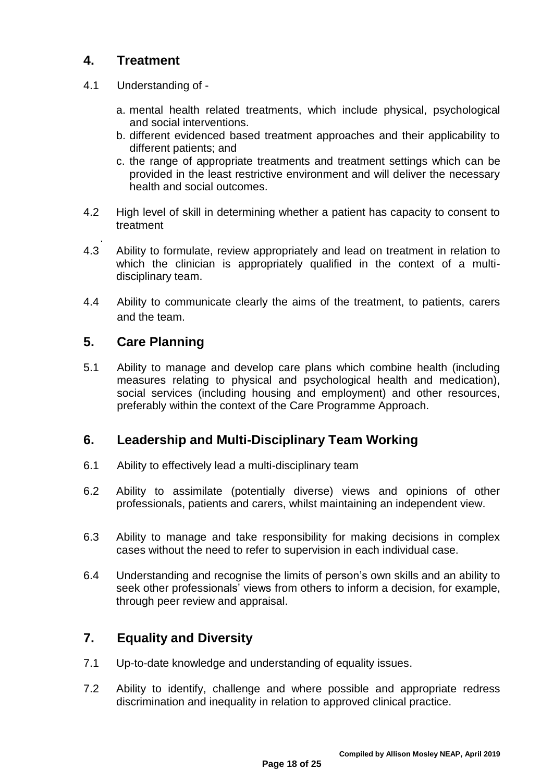# **4. Treatment**

- 4.1 Understanding of
	- a. mental health related treatments, which include physical, psychological and social interventions.
	- b. different evidenced based treatment approaches and their applicability to different patients; and
	- c. the range of appropriate treatments and treatment settings which can be provided in the least restrictive environment and will deliver the necessary health and social outcomes.
- 4.2 High level of skill in determining whether a patient has capacity to consent to treatment
- . 4.3 Ability to formulate, review appropriately and lead on treatment in relation to which the clinician is appropriately qualified in the context of a multidisciplinary team.
- 4.4 Ability to communicate clearly the aims of the treatment, to patients, carers and the team.

# **5. Care Planning**

5.1 Ability to manage and develop care plans which combine health (including measures relating to physical and psychological health and medication), social services (including housing and employment) and other resources, preferably within the context of the Care Programme Approach.

## **6. Leadership and Multi-Disciplinary Team Working**

- 6.1 Ability to effectively lead a multi-disciplinary team
- 6.2 Ability to assimilate (potentially diverse) views and opinions of other professionals, patients and carers, whilst maintaining an independent view.
- 6.3 Ability to manage and take responsibility for making decisions in complex cases without the need to refer to supervision in each individual case.
- 6.4 Understanding and recognise the limits of person's own skills and an ability to seek other professionals' views from others to inform a decision, for example, through peer review and appraisal.

# **7. Equality and Diversity**

- 7.1 Up-to-date knowledge and understanding of equality issues.
- 7.2 Ability to identify, challenge and where possible and appropriate redress discrimination and inequality in relation to approved clinical practice.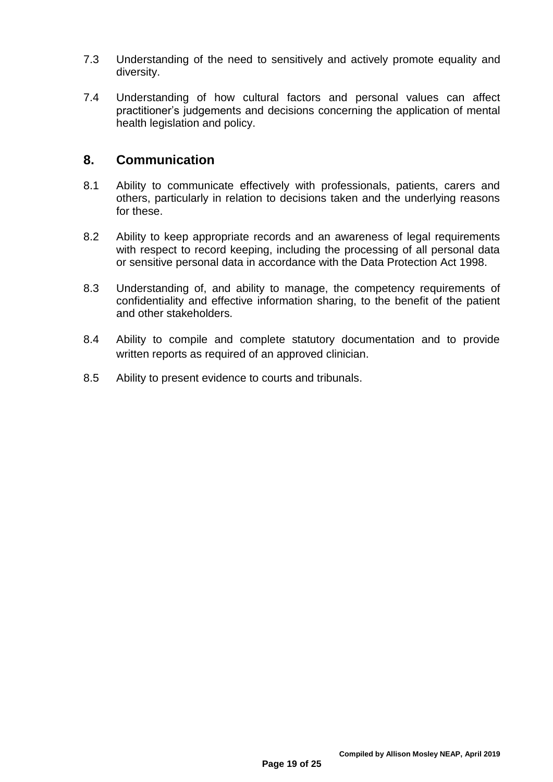- 7.3 Understanding of the need to sensitively and actively promote equality and diversity.
- 7.4 Understanding of how cultural factors and personal values can affect practitioner's judgements and decisions concerning the application of mental health legislation and policy.

# **8. Communication**

- 8.1 Ability to communicate effectively with professionals, patients, carers and others, particularly in relation to decisions taken and the underlying reasons for these.
- 8.2 Ability to keep appropriate records and an awareness of legal requirements with respect to record keeping, including the processing of all personal data or sensitive personal data in accordance with the Data Protection Act 1998.
- 8.3 Understanding of, and ability to manage, the competency requirements of confidentiality and effective information sharing, to the benefit of the patient and other stakeholders.
- 8.4 Ability to compile and complete statutory documentation and to provide written reports as required of an approved clinician.
- 8.5 Ability to present evidence to courts and tribunals.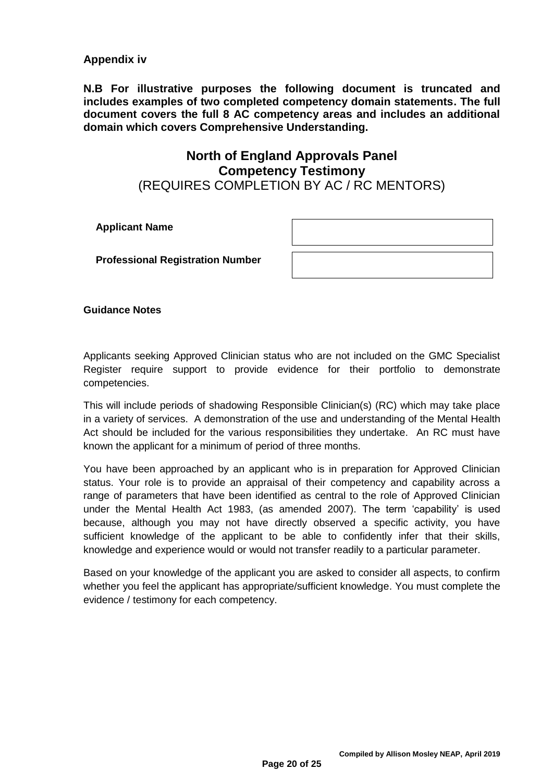#### **Appendix iv**

**N.B For illustrative purposes the following document is truncated and includes examples of two completed competency domain statements. The full document covers the full 8 AC competency areas and includes an additional domain which covers Comprehensive Understanding.**

### **North of England Approvals Panel Competency Testimony** (REQUIRES COMPLETION BY AC / RC MENTORS)

**Applicant Name**

**Professional Registration Number**

**Guidance Notes**

Applicants seeking Approved Clinician status who are not included on the GMC Specialist Register require support to provide evidence for their portfolio to demonstrate competencies.

This will include periods of shadowing Responsible Clinician(s) (RC) which may take place in a variety of services. A demonstration of the use and understanding of the Mental Health Act should be included for the various responsibilities they undertake. An RC must have known the applicant for a minimum of period of three months.

You have been approached by an applicant who is in preparation for Approved Clinician status. Your role is to provide an appraisal of their competency and capability across a range of parameters that have been identified as central to the role of Approved Clinician under the Mental Health Act 1983, (as amended 2007). The term 'capability' is used because, although you may not have directly observed a specific activity, you have sufficient knowledge of the applicant to be able to confidently infer that their skills, knowledge and experience would or would not transfer readily to a particular parameter.

Based on your knowledge of the applicant you are asked to consider all aspects, to confirm whether you feel the applicant has appropriate/sufficient knowledge. You must complete the evidence / testimony for each competency.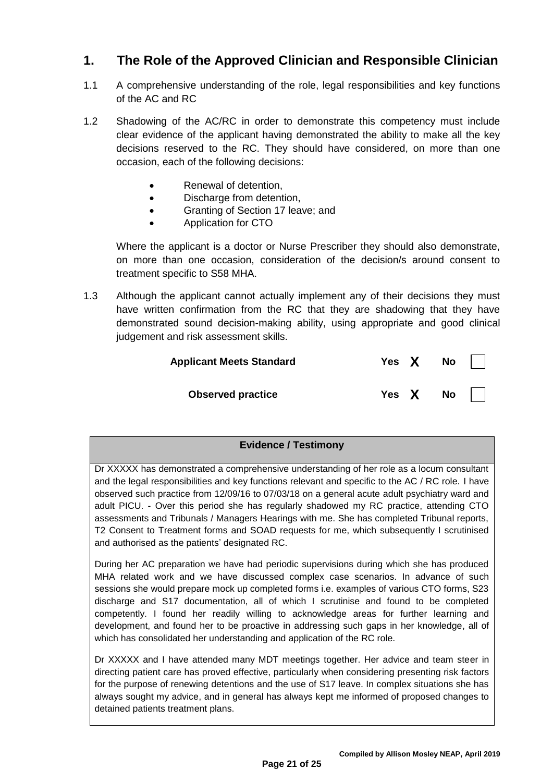# **1. The Role of the Approved Clinician and Responsible Clinician**

- 1.1 A comprehensive understanding of the role, legal responsibilities and key functions of the AC and RC
- 1.2 Shadowing of the AC/RC in order to demonstrate this competency must include clear evidence of the applicant having demonstrated the ability to make all the key decisions reserved to the RC. They should have considered, on more than one occasion, each of the following decisions:
	- Renewal of detention,
	- Discharge from detention,
	- Granting of Section 17 leave; and
	- Application for CTO

Where the applicant is a doctor or Nurse Prescriber they should also demonstrate, on more than one occasion, consideration of the decision/s around consent to treatment specific to S58 MHA.

1.3 Although the applicant cannot actually implement any of their decisions they must have written confirmation from the RC that they are shadowing that they have demonstrated sound decision-making ability, using appropriate and good clinical judgement and risk assessment skills.

| <b>Applicant Meets Standard</b> | Yes $X$ No $\vert \ \vert$ |  |
|---------------------------------|----------------------------|--|
| <b>Observed practice</b>        | Yes $X$ No $\vert \ \vert$ |  |

### **Evidence / Testimony**

Dr XXXXX has demonstrated a comprehensive understanding of her role as a locum consultant and the legal responsibilities and key functions relevant and specific to the AC / RC role. I have observed such practice from 12/09/16 to 07/03/18 on a general acute adult psychiatry ward and adult PICU. - Over this period she has regularly shadowed my RC practice, attending CTO assessments and Tribunals / Managers Hearings with me. She has completed Tribunal reports, T2 Consent to Treatment forms and SOAD requests for me, which subsequently I scrutinised and authorised as the patients' designated RC.

During her AC preparation we have had periodic supervisions during which she has produced MHA related work and we have discussed complex case scenarios. In advance of such sessions she would prepare mock up completed forms i.e. examples of various CTO forms, S23 discharge and S17 documentation, all of which I scrutinise and found to be completed competently. I found her readily willing to acknowledge areas for further learning and development, and found her to be proactive in addressing such gaps in her knowledge, all of which has consolidated her understanding and application of the RC role.

Dr XXXXX and I have attended many MDT meetings together. Her advice and team steer in directing patient care has proved effective, particularly when considering presenting risk factors for the purpose of renewing detentions and the use of S17 leave. In complex situations she has always sought my advice, and in general has always kept me informed of proposed changes to detained patients treatment plans.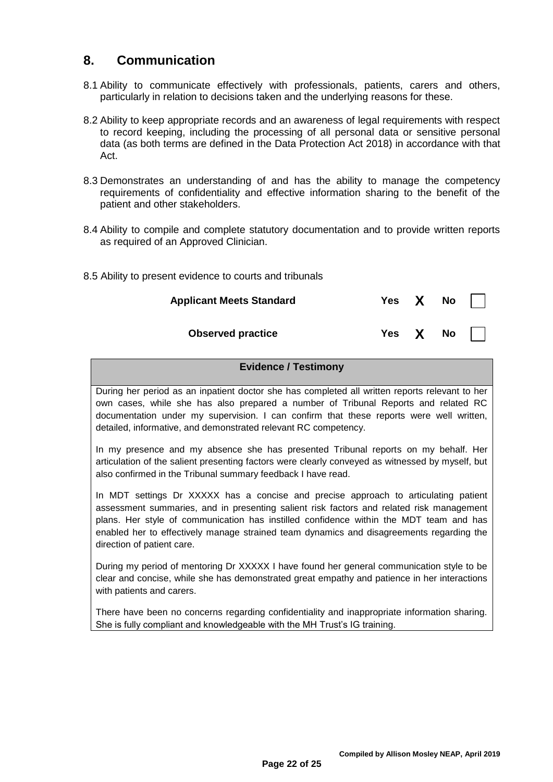# **8. Communication**

- 8.1 Ability to communicate effectively with professionals, patients, carers and others, particularly in relation to decisions taken and the underlying reasons for these.
- 8.2 Ability to keep appropriate records and an awareness of legal requirements with respect to record keeping, including the processing of all personal data or sensitive personal data (as both terms are defined in the Data Protection Act 2018) in accordance with that Act.
- 8.3 Demonstrates an understanding of and has the ability to manage the competency requirements of confidentiality and effective information sharing to the benefit of the patient and other stakeholders.
- 8.4 Ability to compile and complete statutory documentation and to provide written reports as required of an Approved Clinician.
- 8.5 Ability to present evidence to courts and tribunals

| <b>Applicant Meets Standard</b> |  | Yes $X$ No $\vert \ \vert$ |
|---------------------------------|--|----------------------------|
| <b>Observed practice</b>        |  | Yes $X$ No $\vert \ \vert$ |

#### **Evidence / Testimony**

During her period as an inpatient doctor she has completed all written reports relevant to her own cases, while she has also prepared a number of Tribunal Reports and related RC documentation under my supervision. I can confirm that these reports were well written, detailed, informative, and demonstrated relevant RC competency.

In my presence and my absence she has presented Tribunal reports on my behalf. Her articulation of the salient presenting factors were clearly conveyed as witnessed by myself, but also confirmed in the Tribunal summary feedback I have read.

In MDT settings Dr XXXXX has a concise and precise approach to articulating patient assessment summaries, and in presenting salient risk factors and related risk management plans. Her style of communication has instilled confidence within the MDT team and has enabled her to effectively manage strained team dynamics and disagreements regarding the direction of patient care.

During my period of mentoring Dr XXXXX I have found her general communication style to be clear and concise, while she has demonstrated great empathy and patience in her interactions with patients and carers.

There have been no concerns regarding confidentiality and inappropriate information sharing. She is fully compliant and knowledgeable with the MH Trust's IG training.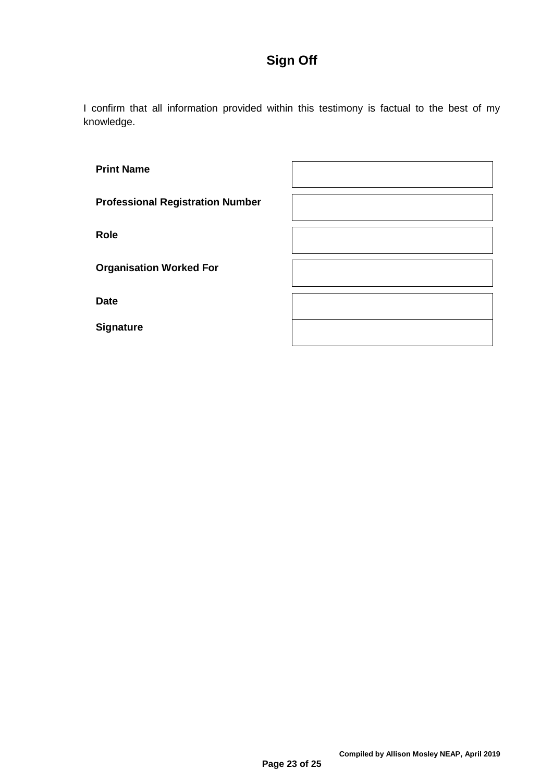# **Sign Off**

I confirm that all information provided within this testimony is factual to the best of my knowledge.

| <b>Print Name</b>                       |  |
|-----------------------------------------|--|
| <b>Professional Registration Number</b> |  |
| Role                                    |  |
| <b>Organisation Worked For</b>          |  |
| <b>Date</b>                             |  |
| <b>Signature</b>                        |  |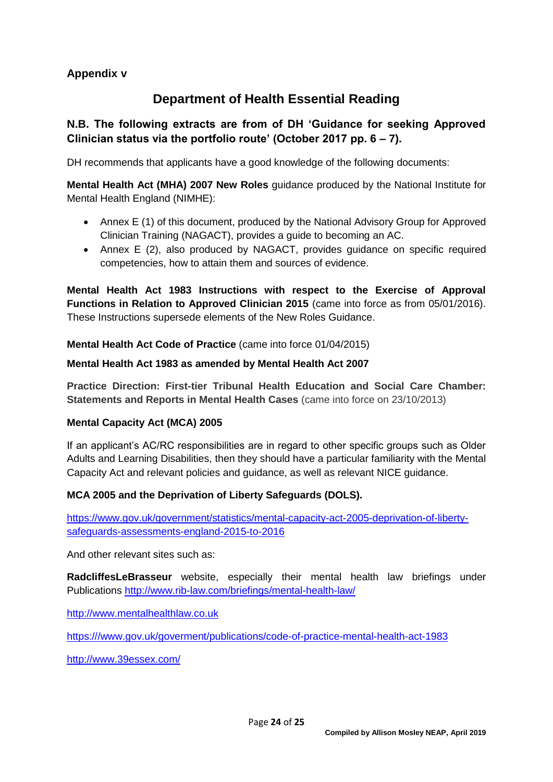### **Appendix v**

# **Department of Health Essential Reading**

### **N.B. The following extracts are from of DH 'Guidance for seeking Approved Clinician status via the portfolio route' (October 2017 pp. 6 – 7).**

DH recommends that applicants have a good knowledge of the following documents:

**Mental Health Act (MHA) 2007 New Roles** guidance produced by the National Institute for Mental Health England (NIMHE):

- Annex E (1) of this document, produced by the National Advisory Group for Approved Clinician Training (NAGACT), provides a guide to becoming an AC.
- Annex E (2), also produced by NAGACT, provides guidance on specific required competencies, how to attain them and sources of evidence.

**Mental Health Act 1983 Instructions with respect to the Exercise of Approval Functions in Relation to Approved Clinician 2015** (came into force as from 05/01/2016). These Instructions supersede elements of the New Roles Guidance.

**Mental Health Act Code of Practice** (came into force 01/04/2015)

#### **[Mental Health Act 1983 as amended](http://www.legislation.gov.uk/ukpga/2007/12/contents) by Mental Health Act 2007**

**Practice Direction: First-tier Tribunal Health Education and Social Care Chamber: Statements and Reports in Mental Health Cases** (came into force on 23/10/2013)

### **Mental Capacity Act (MCA) 2005**

If an applicant's AC/RC responsibilities are in regard to other specific groups such as Older Adults and Learning Disabilities, then they should have a particular familiarity with the Mental Capacity Act and relevant policies and guidance, as well as relevant NICE guidance.

### **MCA 2005 and the Deprivation of Liberty Safeguards (DOLS).**

[https://www.gov.uk/government/statistics/mental-capacity-act-2005-deprivation-of-liberty](https://www.gov.uk/government/statistics/mental-capacity-act-2005-deprivation-of-liberty-safeguards-assessments-england-2015-to-2016)[safeguards-assessments-england-2015-to-2016](https://www.gov.uk/government/statistics/mental-capacity-act-2005-deprivation-of-liberty-safeguards-assessments-england-2015-to-2016)

And other relevant sites such as:

**[RadcliffesLeBrasseur](http://www.rlb-law.com/health-uploads/healthcare-briefing---mental-capacity-act-and-deprivation-of-liberty-safeguards--house-of-lords-review--suggested-reform-and-practical-implications---march-2014.asp)** website, especially their mental health law briefings under Publications<http://www.rib-law.com/briefings/mental-health-law/>

[http://www.mentalhealthlaw.co.uk](http://www.mentalhealthlaw.co.uk/)

[https:///www.gov.uk/goverment/publications/code-of-practice-mental-health-act-1983](https://www.gov.uk/goverment/publications/code-of-practice-mental-health-act-1983)

<http://www.39essex.com/>